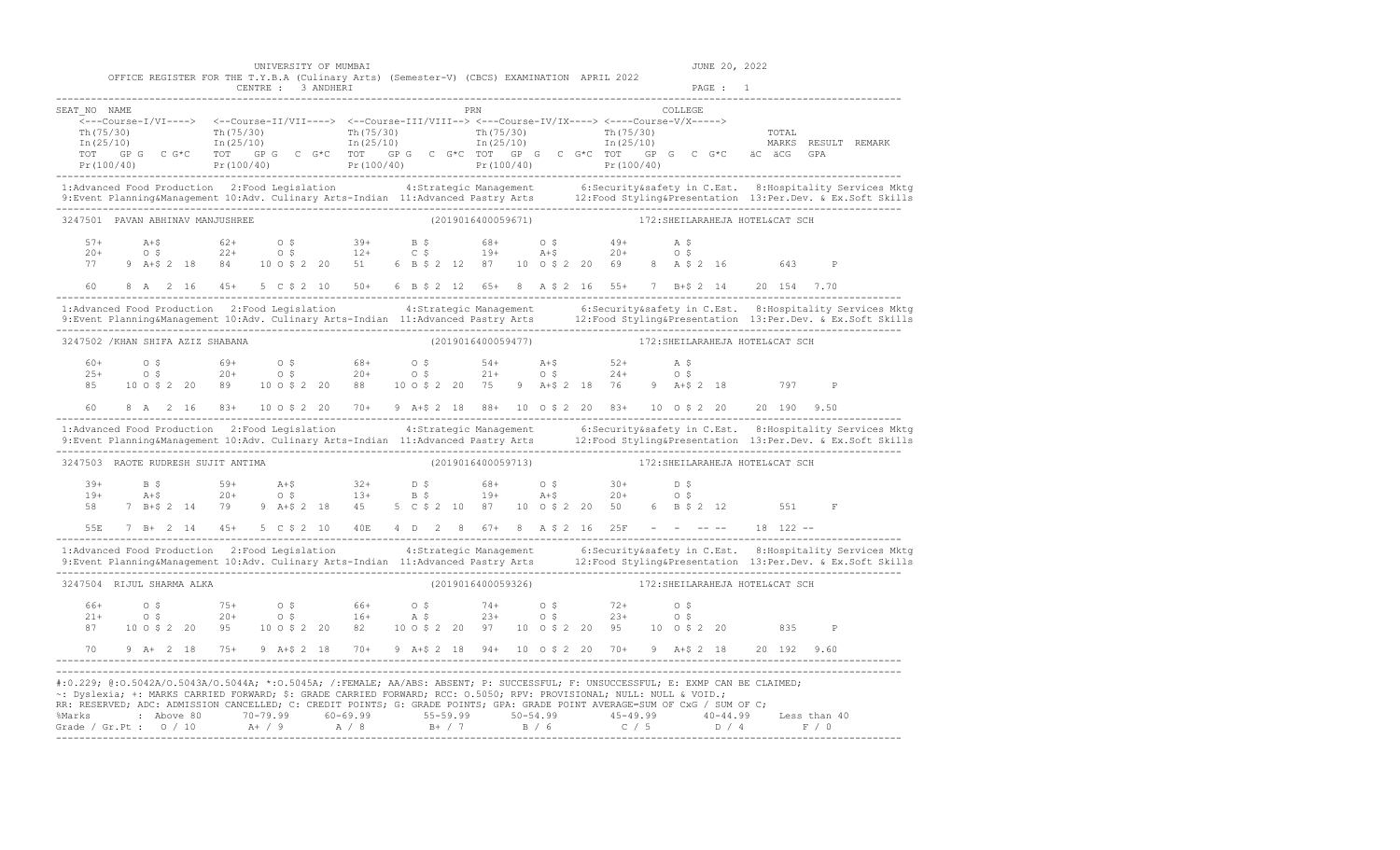UNIVERSITY OF MUMBAI **Algebra 1999** and 20, 2022

|                                    |                                                                                                                                                                                                                                                                |                            |  |  |       |                    | OFFICE REGISTER FOR THE T.Y.B.A (Culinary Arts) (Semester-V) (CBCS) EXAMINATION APRIL 2022<br>CENTRE : 3 ANDHERI                                                                                                                                                                                                                                                                                                                                                                                                                                     |  |  |  |                                 |  |  |  |                                                                                                                                                                                                                                |  |                        |  | PAGE : 1 |  |                                 |              |                                                                                                                                                                                                                                   |
|------------------------------------|----------------------------------------------------------------------------------------------------------------------------------------------------------------------------------------------------------------------------------------------------------------|----------------------------|--|--|-------|--------------------|------------------------------------------------------------------------------------------------------------------------------------------------------------------------------------------------------------------------------------------------------------------------------------------------------------------------------------------------------------------------------------------------------------------------------------------------------------------------------------------------------------------------------------------------------|--|--|--|---------------------------------|--|--|--|--------------------------------------------------------------------------------------------------------------------------------------------------------------------------------------------------------------------------------|--|------------------------|--|----------|--|---------------------------------|--------------|-----------------------------------------------------------------------------------------------------------------------------------------------------------------------------------------------------------------------------------|
| SEAT NO NAME                       |                                                                                                                                                                                                                                                                |                            |  |  |       |                    | <---Course-I/VI----> <--Course-II/VII----> <--Course-III/VIII--> <--Course-IV/IX----> <---Course-V/X-----><br>$\frac{\text{Th}(75/30)}{\text{Th}(25/10)}$ $\frac{\text{Th}(75/30)}{\text{In}(25/10)}$ $\frac{\text{Th}(75/30)}{\text{In}(25/10)}$ $\frac{\text{Th}(75/30)}{\text{In}(25/10)}$ $\frac{\text{Th}(75/30)}{\text{In}(25/10)}$ $\frac{\text{Th}(75/30)}{\text{In}(25/10)}$<br>TOT GPG CG*C TOT GPG CG*C TOT GPG CG*C TOT GPG CG*C TOT GPG CG*C ACACGGPA                                                                                   |  |  |  |                                 |  |  |  | PRN 2008 COMMUNICATION CONTROL INTERNATIONAL COMMUNICATION CONTROL INTERNATIONAL COMMUNICATION CONTROL INTERNATIONAL COMMUNICATION CONTROL INTERNATIONAL COMMUNICATION CONTROL INTERNATIONAL COMMUNICATION CONTROL INTERNATION |  | COLLEGE.               |  |          |  | TOTAL                           |              | MARKS RESULT REMARK<br>$Pr(100/40)$ $Pr(100/40)$ $Pr(100/40)$ $Pr(100/40)$ $Pr(100/40)$ $Pr(100/40)$ $Pr(100/40)$                                                                                                                 |
|                                    |                                                                                                                                                                                                                                                                |                            |  |  |       |                    |                                                                                                                                                                                                                                                                                                                                                                                                                                                                                                                                                      |  |  |  |                                 |  |  |  |                                                                                                                                                                                                                                |  |                        |  |          |  |                                 |              | 1:Advanced Food Production 2:Food Legislation 4:Strategic Management 6:Security&safety in C.Est. 8:Hospitality Services Mktg<br>9:Event Planning&Management 10:Adv. Culinary Arts-Indian 11:Advanced Pastry Arts 12:Food Styling& |
| 3247501 PAVAN ABHINAV MANJUSHREE   |                                                                                                                                                                                                                                                                |                            |  |  |       |                    |                                                                                                                                                                                                                                                                                                                                                                                                                                                                                                                                                      |  |  |  |                                 |  |  |  | (2019016400059671) 172: SHEILARAHEJA HOTEL&CAT SCH                                                                                                                                                                             |  |                        |  |          |  |                                 |              |                                                                                                                                                                                                                                   |
| $57+$<br>$20+$<br>77 —<br>60 —     |                                                                                                                                                                                                                                                                | $O \quad$ \$               |  |  |       |                    | $A+5$ 62+ 0 \$ 39+ B \$ 68+ 0 \$ 49+<br>0 \$ 22+ 0 \$ 12+ C \$ 19+ A+\$ 20+<br>9 A+\$ 2 18 84 10 0 \$ 2 20 51 6 B \$ 2 12 87 10 0 \$ 2 20 69 8 A \$ 2 16<br>8 A 2 16 45+ 5 C \$ 2 10 50+ 6 B \$ 2 12 65+ 8 A \$ 2 16 55+ 7 B+\$ 2 14 20 154 7.70                                                                                                                                                                                                                                                                                                     |  |  |  |                                 |  |  |  |                                                                                                                                                                                                                                |  | A \$<br>0 <sup>5</sup> |  |          |  | 643                             | $\mathbb P$  |                                                                                                                                                                                                                                   |
|                                    |                                                                                                                                                                                                                                                                |                            |  |  |       |                    |                                                                                                                                                                                                                                                                                                                                                                                                                                                                                                                                                      |  |  |  |                                 |  |  |  |                                                                                                                                                                                                                                |  |                        |  |          |  |                                 |              | 1:Advanced Food Production 2:Food Legislation 4:Strategic Management 6:Security&safety in C.Est. 8:Hospitality Services Mktg<br>9:Event Planning&Management 10:Adv. Culinary Arts-Indian 11:Advanced Pastry Arts 12:Food Styling& |
| 3247502 / KHAN SHIFA AZIZ SHABANA  |                                                                                                                                                                                                                                                                |                            |  |  |       |                    |                                                                                                                                                                                                                                                                                                                                                                                                                                                                                                                                                      |  |  |  | (2019016400059477)              |  |  |  | 172: SHEILARAHEJA HOTEL&CAT SCH                                                                                                                                                                                                |  |                        |  |          |  |                                 |              |                                                                                                                                                                                                                                   |
| $60+$<br>$25+$                     |                                                                                                                                                                                                                                                                |                            |  |  |       |                    | 0 \$ 59+ 0 \$ 68+ 0 \$ 54+ A+\$ 52+ A \$<br>0 \$ 20+ 0 \$ 20+ 0 \$ 21+ 0 \$ 24+ 0 \$<br>85 10 0 \$ 2 20 89 10 0 \$ 2 20 88 10 0 \$ 2 20 75 9 A+\$ 2 18 76 9 A+\$ 2 18 797                                                                                                                                                                                                                                                                                                                                                                            |  |  |  |                                 |  |  |  |                                                                                                                                                                                                                                |  |                        |  |          |  |                                 |              | $\mathsf{P}$                                                                                                                                                                                                                      |
| 60 - 10                            |                                                                                                                                                                                                                                                                |                            |  |  |       |                    | 8 A 2 16 83+ 10 O \$ 2 20 70+ 9 A+\$ 2 18 88+ 10 O \$ 2 20 83+ 10 O \$ 2 20 20 190 9.50                                                                                                                                                                                                                                                                                                                                                                                                                                                              |  |  |  |                                 |  |  |  |                                                                                                                                                                                                                                |  |                        |  |          |  |                                 |              | 1:Advanced Food Production 2:Food Legislation 4:Strategic Management 6:Security&safety in C.Est. 8:Hospitality Services Mktg<br>9:Event Planning&Management 10:Adv. Culinary Arts-Indian 11:Advanced Pastry Arts 12:Food Styling& |
| 3247503 RAOTE RUDRESH SUJIT ANTIMA |                                                                                                                                                                                                                                                                |                            |  |  |       |                    |                                                                                                                                                                                                                                                                                                                                                                                                                                                                                                                                                      |  |  |  | (2019016400059713)              |  |  |  |                                                                                                                                                                                                                                |  |                        |  |          |  | 172: SHEILARAHEJA HOTEL&CAT SCH |              |                                                                                                                                                                                                                                   |
|                                    | $39+$ B \$<br>19+ A+\$                                                                                                                                                                                                                                         |                            |  |  | $59+$ |                    | $20+$ $20+$ $20+$ $20+$ $20+$ $20+$ $20+$ $20+$ $20+$ $20+$ $20+$ $20+$ $20+$ $20+$ $20+$<br>58 7 B+\$ 2 14 79 9 A+\$ 2 18 45 5 C \$ 2 10 87 10 0 \$ 2 20 50 6 B \$ 2 12                                                                                                                                                                                                                                                                                                                                                                             |  |  |  |                                 |  |  |  |                                                                                                                                                                                                                                |  |                        |  |          |  | 551                             | F            |                                                                                                                                                                                                                                   |
|                                    |                                                                                                                                                                                                                                                                |                            |  |  |       |                    | 55E 7 B+ 2 14 45+ 5 C \$ 2 10 40E 4 D 2 8 67+ 8 A \$ 2 16 25F - - ---- 18 122 --                                                                                                                                                                                                                                                                                                                                                                                                                                                                     |  |  |  |                                 |  |  |  |                                                                                                                                                                                                                                |  |                        |  |          |  |                                 |              |                                                                                                                                                                                                                                   |
|                                    | 1:Advanced Food Production 2:Food Legislation 4:Strategic Management 6:Security&safety in C.Est. 8:Hospitality Services Mktg<br>9:Event Planning&Management 10:Adv. Culinary Arts-Indian 11:Advanced Pastry Arts 12:Food Styling&<br>3247504 RIJUL SHARMA ALKA |                            |  |  |       | (2019016400059326) |                                                                                                                                                                                                                                                                                                                                                                                                                                                                                                                                                      |  |  |  | 172: SHEILARAHEJA HOTEL&CAT SCH |  |  |  |                                                                                                                                                                                                                                |  |                        |  |          |  |                                 |              |                                                                                                                                                                                                                                   |
| 66+<br>$21+$                       |                                                                                                                                                                                                                                                                | $\circ$ \$<br>$O \quad \$$ |  |  |       |                    | $75+$ 0 \$ $66+$ 0 \$ $74+$ 0 \$ $72+$ 0 \$<br>$20+$ 0 \$ $16+$ A \$ $23+$ 0 \$ $23+$ 0 \$<br>87 10 0 \$ 2 20 95 10 0 \$ 2 20 82 10 0 \$ 2 20 97 10 0 \$ 2 20 95 10 0 \$ 2 20 835                                                                                                                                                                                                                                                                                                                                                                    |  |  |  |                                 |  |  |  |                                                                                                                                                                                                                                |  |                        |  |          |  |                                 | $\mathbb{P}$ |                                                                                                                                                                                                                                   |
|                                    |                                                                                                                                                                                                                                                                |                            |  |  |       |                    | #:0.229; @:0.5042A/0.5043A/0.5044A; *:0.5045A; /:FEMALE; AA/ABS: ABSENT; P: SUCCESSFUL; F: UNSUCCESSFUL; E: EXMP CAN BE CLAIMED;<br>~: Dyslexia; +: MARKS CARRIED FORWARD; \$: GRADE CARRIED FORWARD; RCC: 0.5050; RPV: PROVISIONAL; NULL: NULL & VOID.;<br>RR: RESERVED, ADC: ADMISSION CANCELLED, C: CREDIT POINTS, G: GRADE POINTS, GPA: GRADE POINT AVERAGE=SUM OF CxG / SUM OF C;<br>%Marks : Above 80 70-79.99 60-69.99 55-59.99 50-54.99 45-49.99 40-44.99 Less than 40<br>Grade / Gr.Pt : 0 / 10 A+ / 9 A / 8 B+ / 7 B / 6 C / 5 D / 4 F / 0 |  |  |  |                                 |  |  |  |                                                                                                                                                                                                                                |  |                        |  |          |  |                                 |              |                                                                                                                                                                                                                                   |